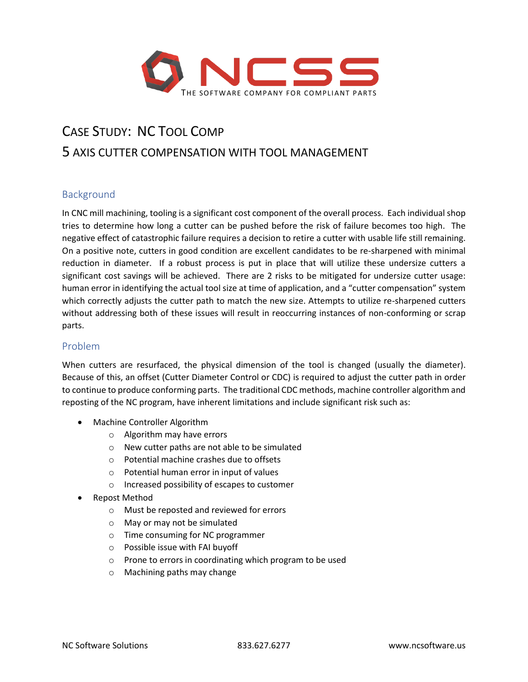

# CASE STUDY: NC TOOL COMP 5 AXIS CUTTER COMPENSATION WITH TOOL MANAGEMENT

# Background

In CNC mill machining, tooling is a significant cost component of the overall process. Each individual shop tries to determine how long a cutter can be pushed before the risk of failure becomes too high. The negative effect of catastrophic failure requires a decision to retire a cutter with usable life still remaining. On a positive note, cutters in good condition are excellent candidates to be re-sharpened with minimal reduction in diameter. If a robust process is put in place that will utilize these undersize cutters a significant cost savings will be achieved. There are 2 risks to be mitigated for undersize cutter usage: human error in identifying the actual tool size at time of application, and a "cutter compensation" system which correctly adjusts the cutter path to match the new size. Attempts to utilize re-sharpened cutters without addressing both of these issues will result in reoccurring instances of non-conforming or scrap parts.

## Problem

When cutters are resurfaced, the physical dimension of the tool is changed (usually the diameter). Because of this, an offset (Cutter Diameter Control or CDC) is required to adjust the cutter path in order to continue to produce conforming parts. The traditional CDC methods, machine controller algorithm and reposting of the NC program, have inherent limitations and include significant risk such as:

- Machine Controller Algorithm
	- o Algorithm may have errors
	- o New cutter paths are not able to be simulated
	- o Potential machine crashes due to offsets
	- o Potential human error in input of values
	- o Increased possibility of escapes to customer
- Repost Method
	- o Must be reposted and reviewed for errors
	- o May or may not be simulated
	- o Time consuming for NC programmer
	- o Possible issue with FAI buyoff
	- o Prone to errors in coordinating which program to be used
	- o Machining paths may change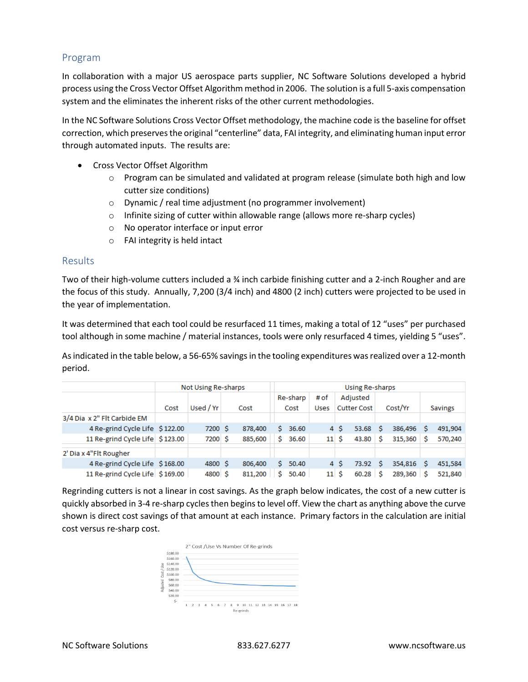## Program

In collaboration with a major US aerospace parts supplier, NC Software Solutions developed a hybrid process using the Cross Vector Offset Algorithm method in 2006. The solution is a full 5-axis compensation system and the eliminates the inherent risks of the other current methodologies.

In the NC Software Solutions Cross Vector Offset methodology, the machine code is the baseline for offset correction, which preservesthe original "centerline" data, FAI integrity, and eliminating human input error through automated inputs. The results are:

- Cross Vector Offset Algorithm
	- $\circ$  Program can be simulated and validated at program release (simulate both high and low cutter size conditions)
	- o Dynamic / real time adjustment (no programmer involvement)
	- o Infinite sizing of cutter within allowable range (allows more re-sharp cycles)
	- o No operator interface or input error
	- o FAI integrity is held intact

### **Results**

Two of their high-volume cutters included a ¾ inch carbide finishing cutter and a 2-inch Rougher and are the focus of this study. Annually, 7,200 (3/4 inch) and 4800 (2 inch) cutters were projected to be used in the year of implementation.

It was determined that each tool could be resurfaced 11 times, making a total of 12 "uses" per purchased tool although in some machine / material instances, tools were only resurfaced 4 times, yielding 5 "uses".

As indicated in the table below, a 56-65% savings in the tooling expenditures was realized over a 12-month period.

|                                 | Not Using Re-sharps |           |      |         |                  | Using Re-sharps |                     |                                |            |         |         |                |         |  |
|---------------------------------|---------------------|-----------|------|---------|------------------|-----------------|---------------------|--------------------------------|------------|---------|---------|----------------|---------|--|
|                                 | Cost                | Used / Yr | Cost |         | Re-sharp<br>Cost |                 | # of<br><b>Uses</b> | Adjusted<br><b>Cutter Cost</b> |            | Cost/Yr |         | <b>Savings</b> |         |  |
| 3/4 Dia x 2" Flt Carbide EM     |                     |           |      |         |                  |                 |                     |                                |            |         |         |                |         |  |
| 4 Re-grind Cycle Life \$122.00  |                     | 7200 \$   |      | 878,400 | s                | 36.60           |                     | 4 S                            | $53.68$ \$ |         | 386,496 |                | 491,904 |  |
| 11 Re-grind Cycle Life \$123.00 |                     | 7200 S    |      | 885.600 | Ś                | 36.60           | 11S                 |                                | 43.80      | -S      | 315,360 |                | 570,240 |  |
| 2' Dia x 4"Flt Rougher          |                     |           |      |         |                  |                 |                     |                                |            |         |         |                |         |  |
| 4 Re-grind Cycle Life \$168.00  |                     | 4800 S    |      | 806,400 | s.               | 50.40           |                     | 4 S                            | 73.92      | -S      | 354,816 | s              | 451,584 |  |
| 11 Re-grind Cycle Life \$169.00 |                     | 4800 \$   |      | 811,200 | Ś                | 50.40           | 11S                 |                                | $60.28$ \$ |         | 289,360 | .S             | 521,840 |  |

Regrinding cutters is not a linear in cost savings. As the graph below indicates, the cost of a new cutter is quickly absorbed in 3-4 re-sharp cycles then begins to level off. View the chart as anything above the curve shown is direct cost savings of that amount at each instance. Primary factors in the calculation are initial cost versus re-sharp cost.